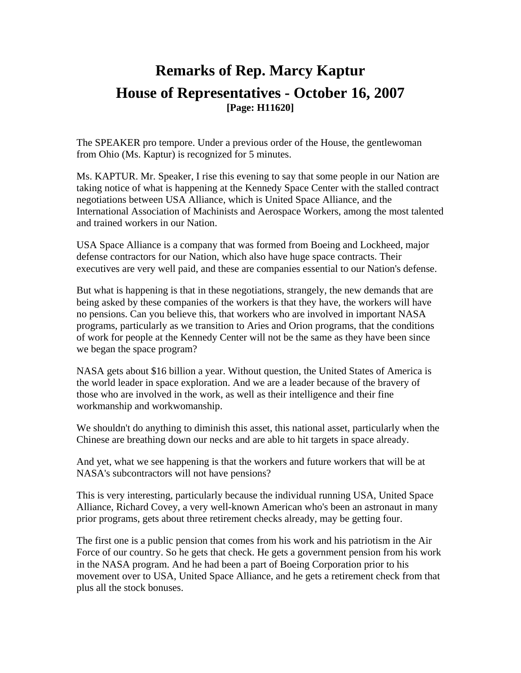## **Remarks of Rep. Marcy Kaptur House of Representatives - October 16, 2007 [Page: H11620]**

The SPEAKER pro tempore. Under a previous order of the House, the gentlewoman from Ohio (Ms. Kaptur) is recognized for 5 minutes.

Ms. KAPTUR. Mr. Speaker, I rise this evening to say that some people in our Nation are taking notice of what is happening at the Kennedy Space Center with the stalled contract negotiations between USA Alliance, which is United Space Alliance, and the International Association of Machinists and Aerospace Workers, among the most talented and trained workers in our Nation.

USA Space Alliance is a company that was formed from Boeing and Lockheed, major defense contractors for our Nation, which also have huge space contracts. Their executives are very well paid, and these are companies essential to our Nation's defense.

But what is happening is that in these negotiations, strangely, the new demands that are being asked by these companies of the workers is that they have, the workers will have no pensions. Can you believe this, that workers who are involved in important NASA programs, particularly as we transition to Aries and Orion programs, that the conditions of work for people at the Kennedy Center will not be the same as they have been since we began the space program?

NASA gets about \$16 billion a year. Without question, the United States of America is the world leader in space exploration. And we are a leader because of the bravery of those who are involved in the work, as well as their intelligence and their fine workmanship and workwomanship.

We shouldn't do anything to diminish this asset, this national asset, particularly when the Chinese are breathing down our necks and are able to hit targets in space already.

And yet, what we see happening is that the workers and future workers that will be at NASA's subcontractors will not have pensions?

This is very interesting, particularly because the individual running USA, United Space Alliance, Richard Covey, a very well-known American who's been an astronaut in many prior programs, gets about three retirement checks already, may be getting four.

The first one is a public pension that comes from his work and his patriotism in the Air Force of our country. So he gets that check. He gets a government pension from his work in the NASA program. And he had been a part of Boeing Corporation prior to his movement over to USA, United Space Alliance, and he gets a retirement check from that plus all the stock bonuses.